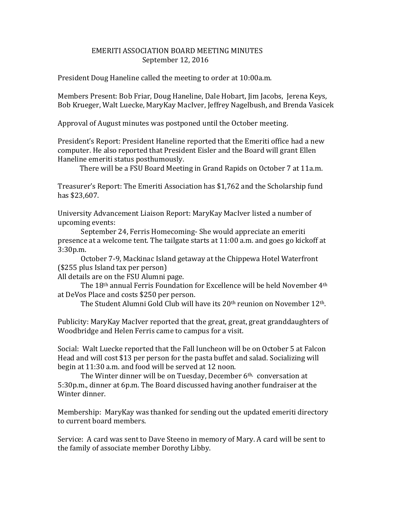## EMERITI ASSOCIATION BOARD MEETING MINUTES September 12, 2016

President Doug Haneline called the meeting to order at 10:00a.m.

Members Present: Bob Friar, Doug Haneline, Dale Hobart, Jim Jacobs, Jerena Keys, Bob Krueger, Walt Luecke, MaryKay MacIver, Jeffrey Nagelbush, and Brenda Vasicek

Approval of August minutes was postponed until the October meeting.

President's Report: President Haneline reported that the Emeriti office had a new computer. He also reported that President Eisler and the Board will grant Ellen Haneline emeriti status posthumously.

There will be a FSU Board Meeting in Grand Rapids on October 7 at 11a.m.

Treasurer's Report: The Emeriti Association has \$1,762 and the Scholarship fund has \$23,607.

University Advancement Liaison Report: MaryKay MacIver listed a number of upcoming events:

September 24, Ferris Homecoming- She would appreciate an emeriti presence at a welcome tent. The tailgate starts at 11:00 a.m. and goes go kickoff at 3:30p.m.

October 7-9, Mackinac Island getaway at the Chippewa Hotel Waterfront (\$255 plus Island tax per person)

All details are on the FSU Alumni page.

The 18th annual Ferris Foundation for Excellence will be held November 4th at DeVos Place and costs \$250 per person.

The Student Alumni Gold Club will have its 20th reunion on November 12th.

Publicity: MaryKay MacIver reported that the great, great, great granddaughters of Woodbridge and Helen Ferris came to campus for a visit.

Social: Walt Luecke reported that the Fall luncheon will be on October 5 at Falcon Head and will cost \$13 per person for the pasta buffet and salad. Socializing will begin at 11:30 a.m. and food will be served at 12 noon.

The Winter dinner will be on Tuesday, December 6<sup>th,</sup> conversation at 5:30p.m., dinner at 6p.m. The Board discussed having another fundraiser at the Winter dinner.

Membership: MaryKay was thanked for sending out the updated emeriti directory to current board members.

Service: A card was sent to Dave Steeno in memory of Mary. A card will be sent to the family of associate member Dorothy Libby.